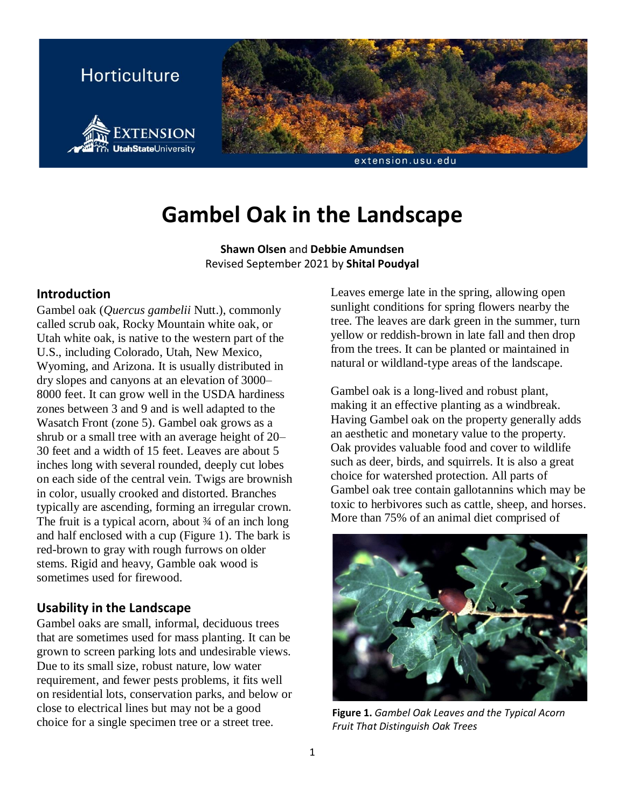

# **Gambel Oak in the Landscape**

**Shawn Olsen** and **Debbie Amundsen** Revised September 2021 by **Shital Poudyal**

## **Introduction**

Gambel oak (*Quercus gambelii* Nutt.), commonly called scrub oak, Rocky Mountain white oak, or Utah white oak, is native to the western part of the U.S., including Colorado, Utah, New Mexico, Wyoming, and Arizona. It is usually distributed in dry slopes and canyons at an elevation of 3000– 8000 feet. It can grow well in the USDA hardiness zones between 3 and 9 and is well adapted to the Wasatch Front (zone 5). Gambel oak grows as a shrub or a small tree with an average height of 20– 30 feet and a width of 15 feet. Leaves are about 5 inches long with several rounded, deeply cut lobes on each side of the central vein. Twigs are brownish in color, usually crooked and distorted. Branches typically are ascending, forming an irregular crown. The fruit is a typical acorn, about  $\frac{3}{4}$  of an inch long and half enclosed with a cup (Figure 1). The bark is red-brown to gray with rough furrows on older stems. Rigid and heavy, Gamble oak wood is sometimes used for firewood.

## **Usability in the Landscape**

Gambel oaks are small, informal, deciduous trees that are sometimes used for mass planting. It can be grown to screen parking lots and undesirable views. Due to its small size, robust nature, low water requirement, and fewer pests problems, it fits well on residential lots, conservation parks, and below or close to electrical lines but may not be a good choice for a single specimen tree or a street tree.

Leaves emerge late in the spring, allowing open sunlight conditions for spring flowers nearby the tree. The leaves are dark green in the summer, turn yellow or reddish-brown in late fall and then drop from the trees. It can be planted or maintained in natural or wildland-type areas of the landscape.

Gambel oak is a long-lived and robust plant, making it an effective planting as a windbreak. Having Gambel oak on the property generally adds an aesthetic and monetary value to the property. Oak provides valuable food and cover to wildlife such as deer, birds, and squirrels. It is also a great choice for watershed protection. All parts of Gambel oak tree contain gallotannins which may be toxic to herbivores such as cattle, sheep, and horses. More than 75% of an animal diet comprised of



**Figure 1.** *Gambel Oak Leaves and the Typical Acorn Fruit That Distinguish Oak Trees*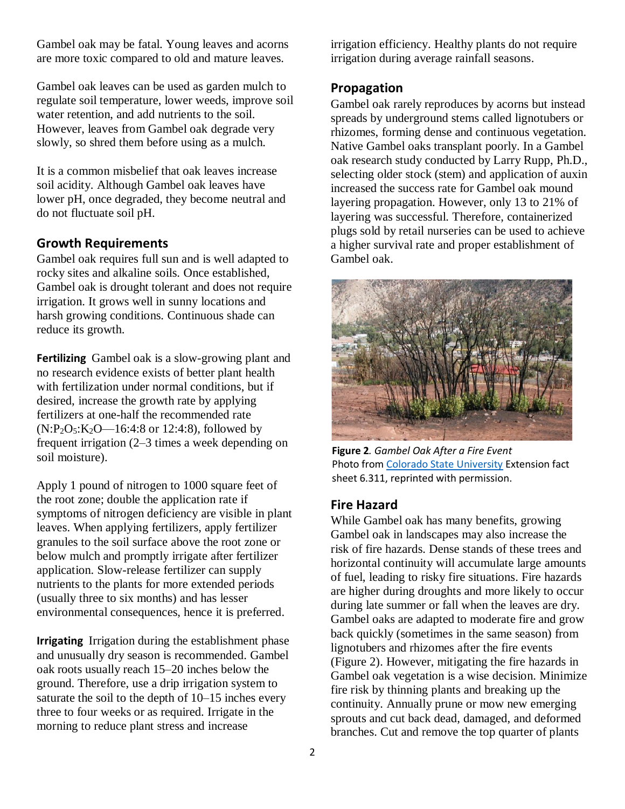Gambel oak may be fatal. Young leaves and acorns are more toxic compared to old and mature leaves.

Gambel oak leaves can be used as garden mulch to regulate soil temperature, lower weeds, improve soil water retention, and add nutrients to the soil. However, leaves from Gambel oak degrade very slowly, so shred them before using as a mulch.

It is a common misbelief that oak leaves increase soil acidity. Although Gambel oak leaves have lower pH, once degraded, they become neutral and do not fluctuate soil pH.

### **Growth Requirements**

Gambel oak requires full sun and is well adapted to rocky sites and alkaline soils. Once established, Gambel oak is drought tolerant and does not require irrigation. It grows well in sunny locations and harsh growing conditions. Continuous shade can reduce its growth.

**Fertilizing** Gambel oak is a slow-growing plant and no research evidence exists of better plant health with fertilization under normal conditions, but if desired, increase the growth rate by applying fertilizers at one-half the recommended rate  $(N:P_2O_5:K_2O-16:4:8$  or 12:4:8), followed by frequent irrigation (2–3 times a week depending on soil moisture).

Apply 1 pound of nitrogen to 1000 square feet of the root zone; double the application rate if symptoms of nitrogen deficiency are visible in plant leaves. When applying fertilizers, apply fertilizer granules to the soil surface above the root zone or below mulch and promptly irrigate after fertilizer application. Slow-release fertilizer can supply nutrients to the plants for more extended periods (usually three to six months) and has lesser environmental consequences, hence it is preferred.

**Irrigating** Irrigation during the establishment phase and unusually dry season is recommended. Gambel oak roots usually reach 15–20 inches below the ground. Therefore, use a drip irrigation system to saturate the soil to the depth of 10–15 inches every three to four weeks or as required. Irrigate in the morning to reduce plant stress and increase

irrigation efficiency. Healthy plants do not require irrigation during average rainfall seasons.

#### **Propagation**

Gambel oak rarely reproduces by acorns but instead spreads by underground stems called lignotubers or rhizomes, forming dense and continuous vegetation. Native Gambel oaks transplant poorly. In a Gambel oak research study conducted by Larry Rupp, Ph.D., selecting older stock (stem) and application of auxin increased the success rate for Gambel oak mound layering propagation. However, only 13 to 21% of layering was successful. Therefore, containerized plugs sold by retail nurseries can be used to achieve a higher survival rate and proper establishment of Gambel oak.



**Figure 2***. Gambel Oak After a Fire Event*  Photo fro[m Colorado State University](http://extension.colostate.edu/) Extension fact sheet 6.311, reprinted with permission.

### **Fire Hazard**

While Gambel oak has many benefits, growing Gambel oak in landscapes may also increase the risk of fire hazards. Dense stands of these trees and horizontal continuity will accumulate large amounts of fuel, leading to risky fire situations. Fire hazards are higher during droughts and more likely to occur during late summer or fall when the leaves are dry. Gambel oaks are adapted to moderate fire and grow back quickly (sometimes in the same season) from lignotubers and rhizomes after the fire events (Figure 2). However, mitigating the fire hazards in Gambel oak vegetation is a wise decision. Minimize fire risk by thinning plants and breaking up the continuity. Annually prune or mow new emerging sprouts and cut back dead, damaged, and deformed branches. Cut and remove the top quarter of plants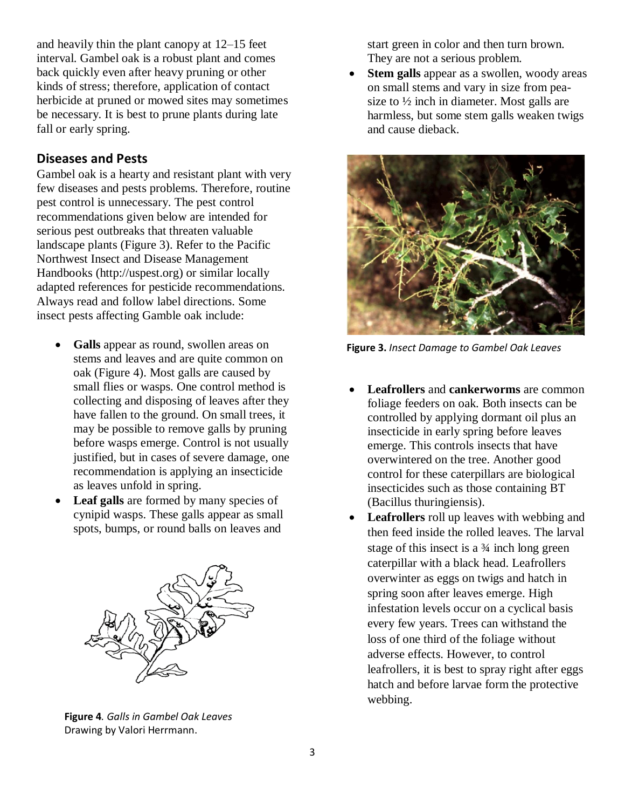and heavily thin the plant canopy at 12–15 feet interval. Gambel oak is a robust plant and comes back quickly even after heavy pruning or other kinds of stress; therefore, application of contact herbicide at pruned or mowed sites may sometimes be necessary. It is best to prune plants during late fall or early spring.

## **Diseases and Pests**

Gambel oak is a hearty and resistant plant with very few diseases and pests problems. Therefore, routine pest control is unnecessary. The pest control recommendations given below are intended for serious pest outbreaks that threaten valuable landscape plants (Figure 3). Refer to the Pacific Northwest Insect and Disease Management Handbooks [\(http://uspest.org\)](http://uspest.org/) or similar locally adapted references for pesticide recommendations. Always read and follow label directions. Some insect pests affecting Gamble oak include:

- Galls appear as round, swollen areas on stems and leaves and are quite common on oak (Figure 4). Most galls are caused by small flies or wasps. One control method is collecting and disposing of leaves after they have fallen to the ground. On small trees, it may be possible to remove galls by pruning before wasps emerge. Control is not usually justified, but in cases of severe damage, one recommendation is applying an insecticide as leaves unfold in spring.
- Leaf galls are formed by many species of cynipid wasps. These galls appear as small spots, bumps, or round balls on leaves and



**Figure 4***. Galls in Gambel Oak Leaves* Drawing by Valori Herrmann.

start green in color and then turn brown. They are not a serious problem.

**Stem galls** appear as a swollen, woody areas on small stems and vary in size from peasize to ½ inch in diameter. Most galls are harmless, but some stem galls weaken twigs and cause dieback.



**Figure 3.** *Insect Damage to Gambel Oak Leaves*

- **Leafrollers** and **cankerworms** are common foliage feeders on oak. Both insects can be controlled by applying dormant oil plus an insecticide in early spring before leaves emerge. This controls insects that have overwintered on the tree. Another good control for these caterpillars are biological insecticides such as those containing BT (Bacillus thuringiensis).
- **Leafrollers** roll up leaves with webbing and then feed inside the rolled leaves. The larval stage of this insect is a ¾ inch long green caterpillar with a black head. Leafrollers overwinter as eggs on twigs and hatch in spring soon after leaves emerge. High infestation levels occur on a cyclical basis every few years. Trees can withstand the loss of one third of the foliage without adverse effects. However, to control leafrollers, it is best to spray right after eggs hatch and before larvae form the protective webbing.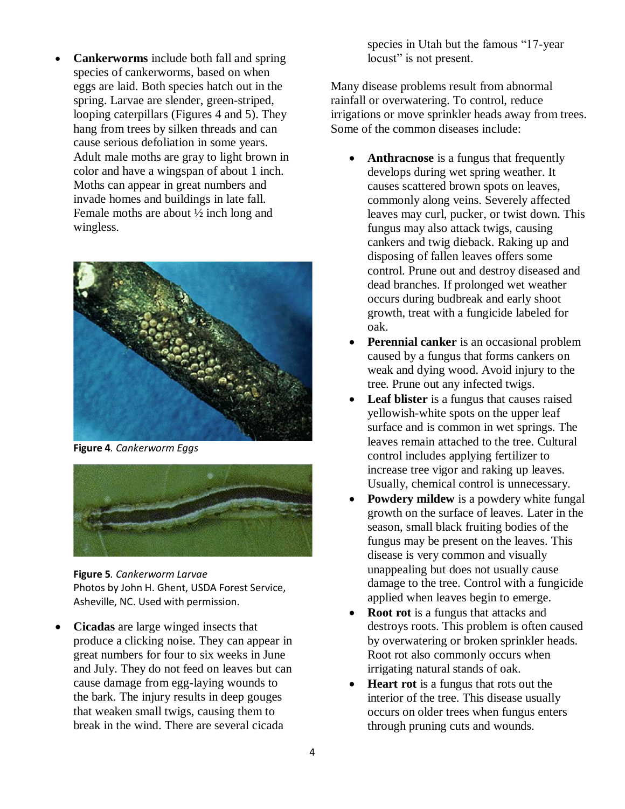• **Cankerworms** include both fall and spring species of cankerworms, based on when eggs are laid. Both species hatch out in the spring. Larvae are slender, green-striped, looping caterpillars (Figures 4 and 5). They hang from trees by silken threads and can cause serious defoliation in some years. Adult male moths are gray to light brown in color and have a wingspan of about 1 inch. Moths can appear in great numbers and invade homes and buildings in late fall. Female moths are about ½ inch long and wingless.



**Figure 4***. Cankerworm Eggs*



**Figure 5***. Cankerworm Larvae* Photos by John H. Ghent, USDA Forest Service, Asheville, NC. Used with permission.

• **Cicadas** are large winged insects that produce a clicking noise. They can appear in great numbers for four to six weeks in June and July. They do not feed on leaves but can cause damage from egg-laying wounds to the bark. The injury results in deep gouges that weaken small twigs, causing them to break in the wind. There are several cicada

species in Utah but the famous "17-year locust" is not present.

Many disease problems result from abnormal rainfall or overwatering. To control, reduce irrigations or move sprinkler heads away from trees. Some of the common diseases include:

- **Anthracnose** is a fungus that frequently develops during wet spring weather. It causes scattered brown spots on leaves, commonly along veins. Severely affected leaves may curl, pucker, or twist down. This fungus may also attack twigs, causing cankers and twig dieback. Raking up and disposing of fallen leaves offers some control. Prune out and destroy diseased and dead branches. If prolonged wet weather occurs during budbreak and early shoot growth, treat with a fungicide labeled for oak.
- **Perennial canker** is an occasional problem caused by a fungus that forms cankers on weak and dying wood. Avoid injury to the tree. Prune out any infected twigs.
- **Leaf blister** is a fungus that causes raised yellowish-white spots on the upper leaf surface and is common in wet springs. The leaves remain attached to the tree. Cultural control includes applying fertilizer to increase tree vigor and raking up leaves. Usually, chemical control is unnecessary.
- **Powdery mildew** is a powdery white fungal growth on the surface of leaves. Later in the season, small black fruiting bodies of the fungus may be present on the leaves. This disease is very common and visually unappealing but does not usually cause damage to the tree. Control with a fungicide applied when leaves begin to emerge.
- **Root rot** is a fungus that attacks and destroys roots. This problem is often caused by overwatering or broken sprinkler heads. Root rot also commonly occurs when irrigating natural stands of oak.
- **Heart rot** is a fungus that rots out the interior of the tree. This disease usually occurs on older trees when fungus enters through pruning cuts and wounds.